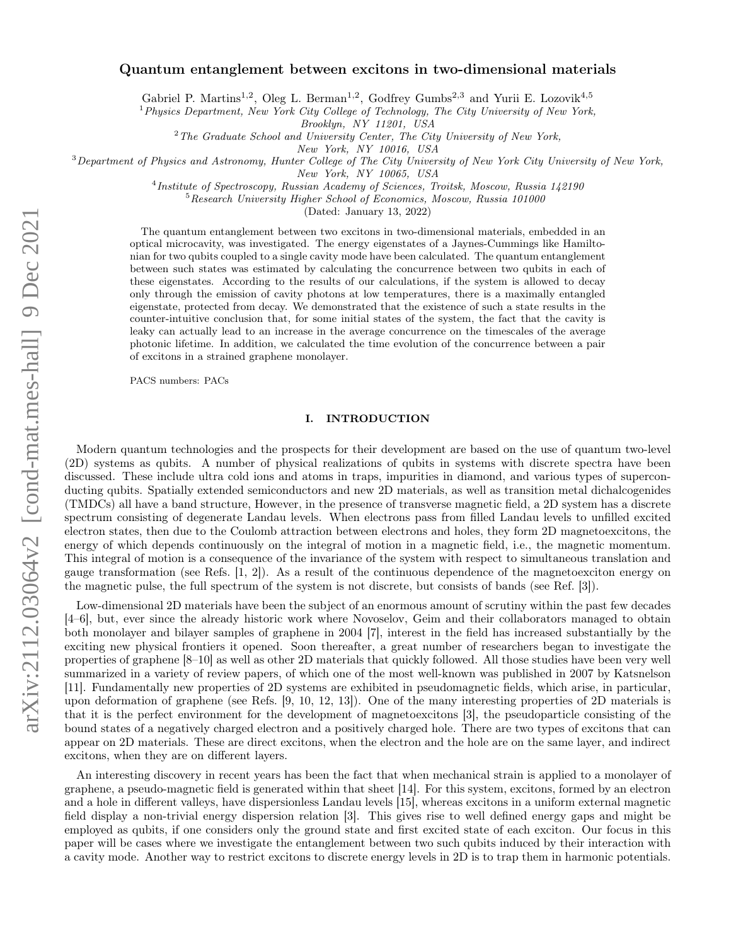# Quantum entanglement between excitons in two-dimensional materials

Gabriel P. Martins<sup>1,2</sup>, Oleg L. Berman<sup>1,2</sup>, Godfrey Gumbs<sup>2,3</sup> and Yurii E. Lozovik<sup>4,5</sup>

<sup>1</sup> Physics Department, New York City College of Technology, The City University of New York,

Brooklyn, NY 11201, USA

 $2$ <sup>2</sup>The Graduate School and University Center, The City University of New York,

New York, NY 10016, USA

 $3$ Department of Physics and Astronomy, Hunter College of The City University of New York City University of New York,

New York, NY 10065, USA

<sup>4</sup> Institute of Spectroscopy, Russian Academy of Sciences, Troitsk, Moscow, Russia 142190

<sup>5</sup>Research University Higher School of Economics, Moscow, Russia 101000

(Dated: January 13, 2022)

The quantum entanglement between two excitons in two-dimensional materials, embedded in an optical microcavity, was investigated. The energy eigenstates of a Jaynes-Cummings like Hamiltonian for two qubits coupled to a single cavity mode have been calculated. The quantum entanglement between such states was estimated by calculating the concurrence between two qubits in each of these eigenstates. According to the results of our calculations, if the system is allowed to decay only through the emission of cavity photons at low temperatures, there is a maximally entangled eigenstate, protected from decay. We demonstrated that the existence of such a state results in the counter-intuitive conclusion that, for some initial states of the system, the fact that the cavity is leaky can actually lead to an increase in the average concurrence on the timescales of the average photonic lifetime. In addition, we calculated the time evolution of the concurrence between a pair of excitons in a strained graphene monolayer.

PACS numbers: PACs

#### I. INTRODUCTION

Modern quantum technologies and the prospects for their development are based on the use of quantum two-level (2D) systems as qubits. A number of physical realizations of qubits in systems with discrete spectra have been discussed. These include ultra cold ions and atoms in traps, impurities in diamond, and various types of superconducting qubits. Spatially extended semiconductors and new 2D materials, as well as transition metal dichalcogenides (TMDCs) all have a band structure, However, in the presence of transverse magnetic field, a 2D system has a discrete spectrum consisting of degenerate Landau levels. When electrons pass from filled Landau levels to unfilled excited electron states, then due to the Coulomb attraction between electrons and holes, they form 2D magnetoexcitons, the energy of which depends continuously on the integral of motion in a magnetic field, i.e., the magnetic momentum. This integral of motion is a consequence of the invariance of the system with respect to simultaneous translation and gauge transformation (see Refs. [\[1,](#page-13-0) [2\]](#page-13-1)). As a result of the continuous dependence of the magnetoexciton energy on the magnetic pulse, the full spectrum of the system is not discrete, but consists of bands (see Ref. [\[3\]](#page-13-2)).

Low-dimensional 2D materials have been the subject of an enormous amount of scrutiny within the past few decades [\[4–](#page-13-3)[6\]](#page-13-4), but, ever since the already historic work where Novoselov, Geim and their collaborators managed to obtain both monolayer and bilayer samples of graphene in 2004 [\[7\]](#page-13-5), interest in the field has increased substantially by the exciting new physical frontiers it opened. Soon thereafter, a great number of researchers began to investigate the properties of graphene [\[8–](#page-13-6)[10\]](#page-13-7) as well as other 2D materials that quickly followed. All those studies have been very well summarized in a variety of review papers, of which one of the most well-known was published in 2007 by Katsnelson [\[11\]](#page-13-8). Fundamentally new properties of 2D systems are exhibited in pseudomagnetic fields, which arise, in particular, upon deformation of graphene (see Refs. [\[9,](#page-13-9) [10,](#page-13-7) [12,](#page-13-10) [13\]](#page-13-11)). One of the many interesting properties of 2D materials is that it is the perfect environment for the development of magnetoexcitons [\[3\]](#page-13-2), the pseudoparticle consisting of the bound states of a negatively charged electron and a positively charged hole. There are two types of excitons that can appear on 2D materials. These are direct excitons, when the electron and the hole are on the same layer, and indirect excitons, when they are on different layers.

An interesting discovery in recent years has been the fact that when mechanical strain is applied to a monolayer of graphene, a pseudo-magnetic field is generated within that sheet [\[14\]](#page-13-12). For this system, excitons, formed by an electron and a hole in different valleys, have dispersionless Landau levels [\[15\]](#page-13-13), whereas excitons in a uniform external magnetic field display a non-trivial energy dispersion relation [\[3\]](#page-13-2). This gives rise to well defined energy gaps and might be employed as qubits, if one considers only the ground state and first excited state of each exciton. Our focus in this paper will be cases where we investigate the entanglement between two such qubits induced by their interaction with a cavity mode. Another way to restrict excitons to discrete energy levels in 2D is to trap them in harmonic potentials.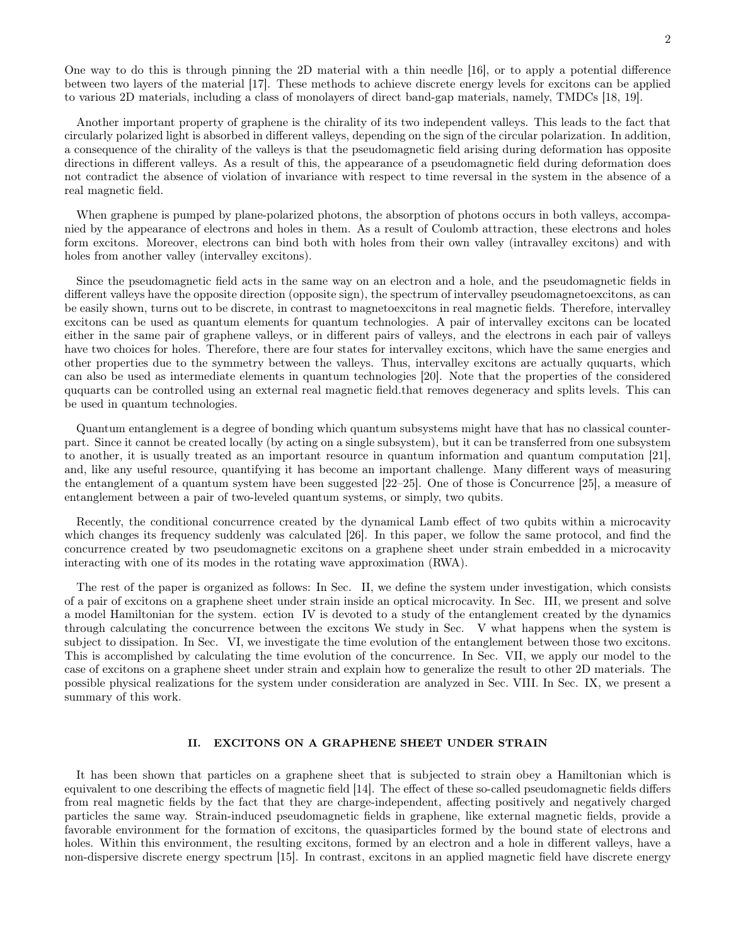One way to do this is through pinning the 2D material with a thin needle [\[16\]](#page-13-14), or to apply a potential difference between two layers of the material [\[17\]](#page-13-15). These methods to achieve discrete energy levels for excitons can be applied to various 2D materials, including a class of monolayers of direct band-gap materials, namely, TMDCs [\[18,](#page-13-16) [19\]](#page-13-17).

Another important property of graphene is the chirality of its two independent valleys. This leads to the fact that circularly polarized light is absorbed in different valleys, depending on the sign of the circular polarization. In addition, a consequence of the chirality of the valleys is that the pseudomagnetic field arising during deformation has opposite directions in different valleys. As a result of this, the appearance of a pseudomagnetic field during deformation does not contradict the absence of violation of invariance with respect to time reversal in the system in the absence of a real magnetic field.

When graphene is pumped by plane-polarized photons, the absorption of photons occurs in both valleys, accompanied by the appearance of electrons and holes in them. As a result of Coulomb attraction, these electrons and holes form excitons. Moreover, electrons can bind both with holes from their own valley (intravalley excitons) and with holes from another valley (intervalley excitons).

Since the pseudomagnetic field acts in the same way on an electron and a hole, and the pseudomagnetic fields in different valleys have the opposite direction (opposite sign), the spectrum of intervalley pseudomagnetoexcitons, as can be easily shown, turns out to be discrete, in contrast to magnetoexcitons in real magnetic fields. Therefore, intervalley excitons can be used as quantum elements for quantum technologies. A pair of intervalley excitons can be located either in the same pair of graphene valleys, or in different pairs of valleys, and the electrons in each pair of valleys have two choices for holes. Therefore, there are four states for intervalley excitons, which have the same energies and other properties due to the symmetry between the valleys. Thus, intervalley excitons are actually ququarts, which can also be used as intermediate elements in quantum technologies [\[20\]](#page-13-18). Note that the properties of the considered ququarts can be controlled using an external real magnetic field.that removes degeneracy and splits levels. This can be used in quantum technologies.

Quantum entanglement is a degree of bonding which quantum subsystems might have that has no classical counterpart. Since it cannot be created locally (by acting on a single subsystem), but it can be transferred from one subsystem to another, it is usually treated as an important resource in quantum information and quantum computation [\[21\]](#page-13-19), and, like any useful resource, quantifying it has become an important challenge. Many different ways of measuring the entanglement of a quantum system have been suggested [\[22–](#page-13-20)[25\]](#page-13-21). One of those is Concurrence [\[25\]](#page-13-21), a measure of entanglement between a pair of two-leveled quantum systems, or simply, two qubits.

Recently, the conditional concurrence created by the dynamical Lamb effect of two qubits within a microcavity which changes its frequency suddenly was calculated [\[26\]](#page-13-22). In this paper, we follow the same protocol, and find the concurrence created by two pseudomagnetic excitons on a graphene sheet under strain embedded in a microcavity interacting with one of its modes in the rotating wave approximation (RWA).

The rest of the paper is organized as follows: In Sec. [II,](#page-1-0) we define the system under investigation, which consists of a pair of excitons on a graphene sheet under strain inside an optical microcavity. In Sec. [III,](#page-2-0) we present and solve a model Hamiltonian for the system. ection [IV](#page-5-0) is devoted to a study of the entanglement created by the dynamics through calculating the concurrence between the excitons We study in Sec. [V](#page-6-0) what happens when the system is subject to dissipation. In Sec. [VI,](#page-8-0) we investigate the time evolution of the entanglement between those two excitons. This is accomplished by calculating the time evolution of the concurrence. In Sec. [VII,](#page-10-0) we apply our model to the case of excitons on a graphene sheet under strain and explain how to generalize the result to other 2D materials. The possible physical realizations for the system under consideration are analyzed in Sec. [VIII.](#page-11-0) In Sec. [IX,](#page-12-0) we present a summary of this work.

# <span id="page-1-0"></span>II. EXCITONS ON A GRAPHENE SHEET UNDER STRAIN

It has been shown that particles on a graphene sheet that is subjected to strain obey a Hamiltonian which is equivalent to one describing the effects of magnetic field [\[14\]](#page-13-12). The effect of these so-called pseudomagnetic fields differs from real magnetic fields by the fact that they are charge-independent, affecting positively and negatively charged particles the same way. Strain-induced pseudomagnetic fields in graphene, like external magnetic fields, provide a favorable environment for the formation of excitons, the quasiparticles formed by the bound state of electrons and holes. Within this environment, the resulting excitons, formed by an electron and a hole in different valleys, have a non-dispersive discrete energy spectrum [\[15\]](#page-13-13). In contrast, excitons in an applied magnetic field have discrete energy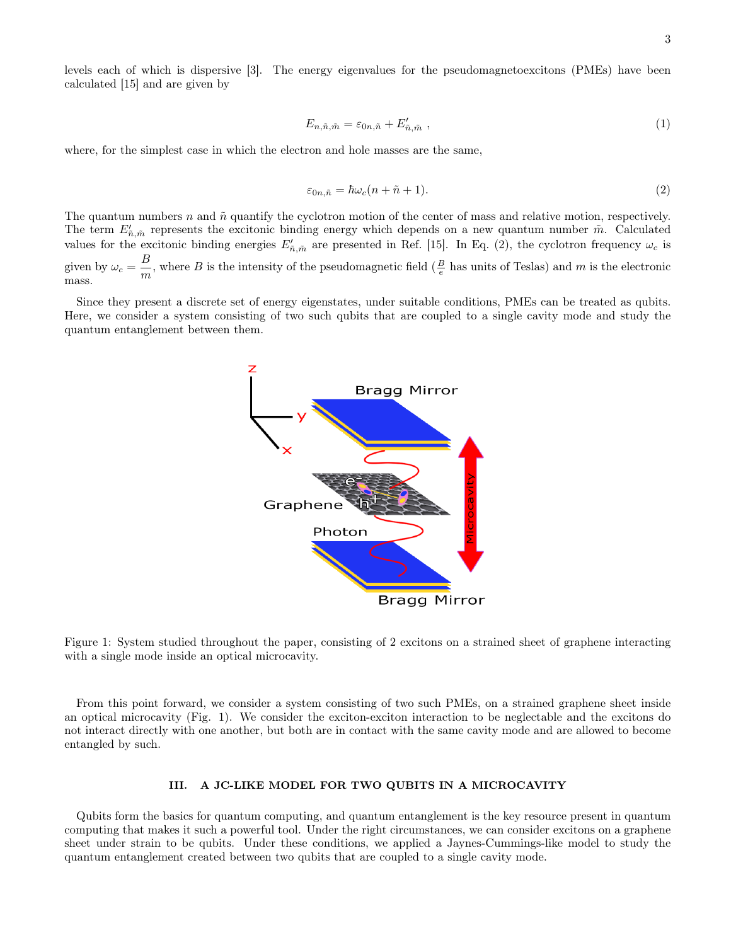<span id="page-2-3"></span>levels each of which is dispersive [\[3\]](#page-13-2). The energy eigenvalues for the pseudomagnetoexcitons (PMEs) have been calculated [\[15\]](#page-13-13) and are given by

$$
E_{n,\tilde{n},\tilde{m}} = \varepsilon_{0n,\tilde{n}} + E'_{\tilde{n},\tilde{m}} \t\t(1)
$$

<span id="page-2-1"></span>where, for the simplest case in which the electron and hole masses are the same,

$$
\varepsilon_{0n,\tilde{n}} = \hbar\omega_c(n+\tilde{n}+1). \tag{2}
$$

The quantum numbers n and  $\tilde{n}$  quantify the cyclotron motion of the center of mass and relative motion, respectively. The term  $E'_{\tilde{n},\tilde{m}}$  represents the excitonic binding energy which depends on a new quantum number  $\tilde{m}$ . Calculated values for the excitonic binding energies  $E'_{\tilde{n},\tilde{m}}$  are presented in Ref. [\[15\]](#page-13-13). In Eq. [\(2\)](#page-2-1), the cyclotron frequency  $\omega_c$  is given by  $\omega_c = \frac{B}{m}$  $\frac{D}{m}$ , where B is the intensity of the pseudomagnetic field  $(\frac{B}{e})$  has units of Teslas) and m is the electronic mass.

<span id="page-2-2"></span>Since they present a discrete set of energy eigenstates, under suitable conditions, PMEs can be treated as qubits. Here, we consider a system consisting of two such qubits that are coupled to a single cavity mode and study the quantum entanglement between them.





From this point forward, we consider a system consisting of two such PMEs, on a strained graphene sheet inside an optical microcavity (Fig. [1\)](#page-2-2). We consider the exciton-exciton interaction to be neglectable and the excitons do not interact directly with one another, but both are in contact with the same cavity mode and are allowed to become entangled by such.

## <span id="page-2-0"></span>III. A JC-LIKE MODEL FOR TWO QUBITS IN A MICROCAVITY

Qubits form the basics for quantum computing, and quantum entanglement is the key resource present in quantum computing that makes it such a powerful tool. Under the right circumstances, we can consider excitons on a graphene sheet under strain to be qubits. Under these conditions, we applied a Jaynes-Cummings-like model to study the quantum entanglement created between two qubits that are coupled to a single cavity mode.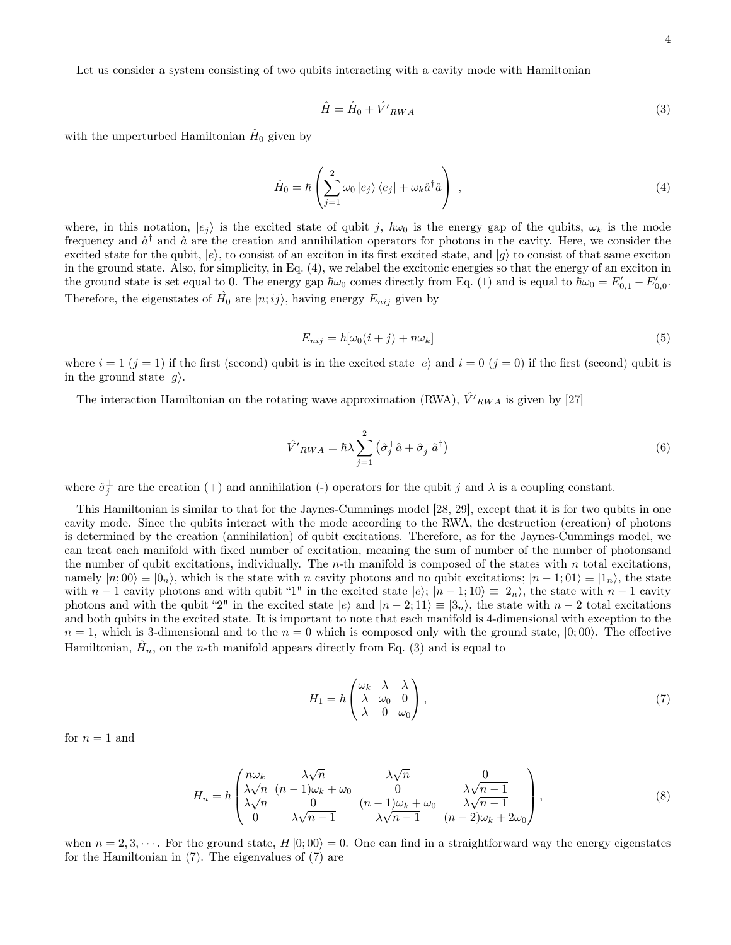<span id="page-3-1"></span>Let us consider a system consisting of two qubits interacting with a cavity mode with Hamiltonian

$$
\hat{H} = \hat{H}_0 + \hat{V'}_{RWA} \tag{3}
$$

<span id="page-3-0"></span>with the unperturbed Hamiltonian  $\hat{H}_0$  given by

$$
\hat{H}_0 = \hbar \left( \sum_{j=1}^2 \omega_0 |e_j\rangle \langle e_j| + \omega_k \hat{a}^\dagger \hat{a} \right) , \qquad (4)
$$

where, in this notation,  $|e_i\rangle$  is the excited state of qubit j,  $\hbar\omega_0$  is the energy gap of the qubits,  $\omega_k$  is the mode frequency and  $\hat{a}^{\dagger}$  and  $\hat{a}$  are the creation and annihilation operators for photons in the cavity. Here, we consider the excited state for the qubit,  $|e\rangle$ , to consist of an exciton in its first excited state, and  $|q\rangle$  to consist of that same exciton in the ground state. Also, for simplicity, in Eq. [\(4\)](#page-3-0), we relabel the excitonic energies so that the energy of an exciton in the ground state is set equal to 0. The energy gap  $\hbar\omega_0$  comes directly from Eq. [\(1\)](#page-2-3) and is equal to  $\hbar\omega_0 = E'_{0,1} - E'_{0,0}$ . Therefore, the eigenstates of  $\hat{H}_0$  are  $|n;ij\rangle$ , having energy  $E_{nij}$  given by

$$
E_{nij} = \hbar[\omega_0(i+j) + n\omega_k]
$$
\n(5)

where  $i = 1$  ( $j = 1$ ) if the first (second) qubit is in the excited state  $|e\rangle$  and  $i = 0$  ( $j = 0$ ) if the first (second) qubit is in the ground state  $|q\rangle$ .

The interaction Hamiltonian on the rotating wave approximation (RWA),  $\hat{V'}_{RWA}$  is given by [\[27\]](#page-13-23)

$$
\hat{V'}_{RWA} = \hbar\lambda \sum_{j=1}^{2} \left(\hat{\sigma}_j^+ \hat{a} + \hat{\sigma}_j^- \hat{a}^\dagger\right)
$$
\n(6)

where  $\hat{\sigma}_j^{\pm}$  are the creation (+) and annihilation (-) operators for the qubit j and  $\lambda$  is a coupling constant.

This Hamiltonian is similar to that for the Jaynes-Cummings model [\[28,](#page-13-24) [29\]](#page-13-25), except that it is for two qubits in one cavity mode. Since the qubits interact with the mode according to the RWA, the destruction (creation) of photons is determined by the creation (annihilation) of qubit excitations. Therefore, as for the Jaynes-Cummings model, we can treat each manifold with fixed number of excitation, meaning the sum of number of the number of photonsand the number of qubit excitations, individually. The  $n$ -th manifold is composed of the states with  $n$  total excitations, namely  $|n;00\rangle \equiv |0_n\rangle$ , which is the state with n cavity photons and no qubit excitations;  $|n-1;01\rangle \equiv |1_n\rangle$ , the state with  $n-1$  cavity photons and with qubit "1" in the excited state  $|e\rangle$ ;  $|n-1;10\rangle \equiv |2_n\rangle$ , the state with  $n-1$  cavity photons and with the qubit "2" in the excited state  $|e\rangle$  and  $|n-2;11\rangle \equiv |3_n\rangle$ , the state with  $n-2$  total excitations and both qubits in the excited state. It is important to note that each manifold is 4-dimensional with exception to the  $n = 1$ , which is 3-dimensional and to the  $n = 0$  which is composed only with the ground state,  $|0;00\rangle$ . The effective Hamiltonian,  $\hat{H}_n$ , on the *n*-th manifold appears directly from Eq. [\(3\)](#page-3-1) and is equal to

$$
H_1 = \hbar \begin{pmatrix} \omega_k & \lambda & \lambda \\ \lambda & \omega_0 & 0 \\ \lambda & 0 & \omega_0 \end{pmatrix}, \tag{7}
$$

<span id="page-3-3"></span><span id="page-3-2"></span>for  $n = 1$  and

$$
H_n = \hbar \begin{pmatrix} n\omega_k & \lambda\sqrt{n} & \lambda\sqrt{n} & 0\\ \lambda\sqrt{n} & (n-1)\omega_k + \omega_0 & 0 & \lambda\sqrt{n-1} \\ \lambda\sqrt{n} & 0 & (n-1)\omega_k + \omega_0 & \lambda\sqrt{n-1} \\ 0 & \lambda\sqrt{n-1} & \lambda\sqrt{n-1} & (n-2)\omega_k + 2\omega_0 \end{pmatrix},
$$
(8)

when  $n = 2, 3, \dots$ . For the ground state,  $H |0; 00\rangle = 0$ . One can find in a straightforward way the energy eigenstates for the Hamiltonian in [\(7\)](#page-3-2). The eigenvalues of [\(7\)](#page-3-2) are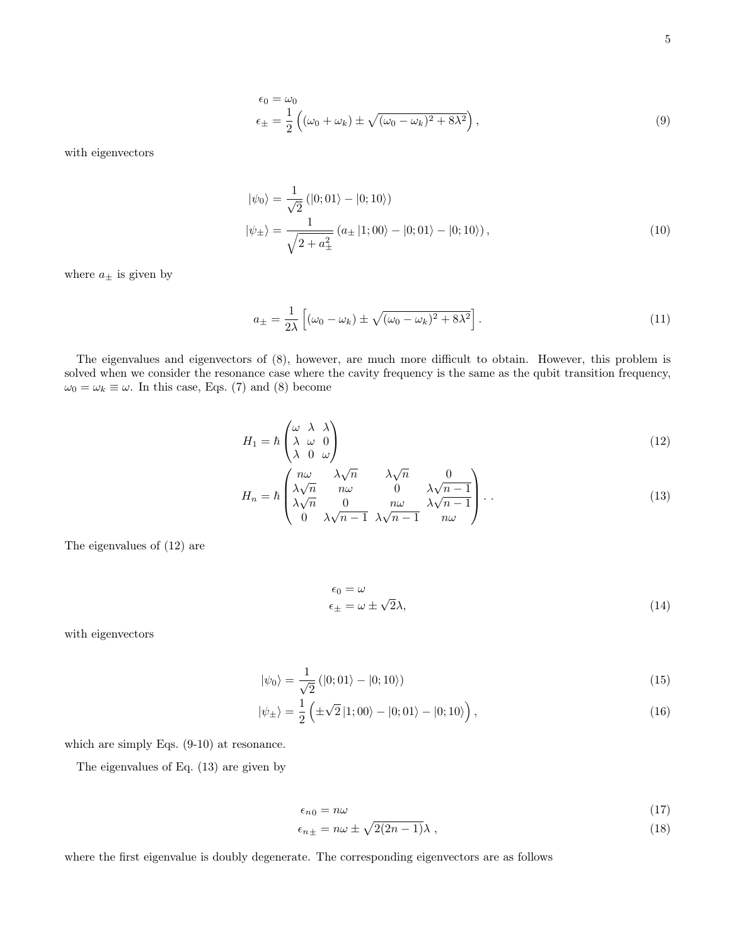<span id="page-4-1"></span>
$$
\epsilon_0 = \omega_0
$$
  
\n
$$
\epsilon_{\pm} = \frac{1}{2} \left( (\omega_0 + \omega_k) \pm \sqrt{(\omega_0 - \omega_k)^2 + 8\lambda^2} \right),
$$
\n(9)

with eigenvectors

<span id="page-4-2"></span>
$$
|\psi_0\rangle = \frac{1}{\sqrt{2}} (|0; 01\rangle - |0; 10\rangle)
$$
  

$$
|\psi_{\pm}\rangle = \frac{1}{\sqrt{2 + a_{\pm}^2}} (a_{\pm} |1; 00\rangle - |0; 01\rangle - |0; 10\rangle),
$$
 (10)

<span id="page-4-4"></span>where  $a_\pm$  is given by

$$
a_{\pm} = \frac{1}{2\lambda} \left[ (\omega_0 - \omega_k) \pm \sqrt{(\omega_0 - \omega_k)^2 + 8\lambda^2} \right]. \tag{11}
$$

The eigenvalues and eigenvectors of [\(8\)](#page-3-3), however, are much more difficult to obtain. However, this problem is solved when we consider the resonance case where the cavity frequency is the same as the qubit transition frequency,  $\omega_0 = \omega_k \equiv \omega$ . In this case, Eqs. [\(7\)](#page-3-2) and [\(8\)](#page-3-3) become

<span id="page-4-0"></span>
$$
H_1 = \hbar \begin{pmatrix} \omega & \lambda & \lambda \\ \lambda & \omega & 0 \\ \lambda & 0 & \omega \end{pmatrix}
$$
 (12)

$$
H_n = \hbar \begin{pmatrix} n\omega & \lambda\sqrt{n} & \lambda\sqrt{n} & 0\\ \lambda\sqrt{n} & n\omega & 0 & \lambda\sqrt{n-1} \\ \lambda\sqrt{n} & 0 & n\omega & \lambda\sqrt{n-1} \\ 0 & \lambda\sqrt{n-1} & \lambda\sqrt{n-1} & n\omega \end{pmatrix} .
$$
 (13)

The eigenvalues of [\(12\)](#page-4-0) are

$$
\epsilon_0 = \omega
$$
  
\n
$$
\epsilon_{\pm} = \omega \pm \sqrt{2}\lambda,
$$
\n(14)

with eigenvectors

<span id="page-4-3"></span>
$$
|\psi_0\rangle = \frac{1}{\sqrt{2}} (|0;01\rangle - |0;10\rangle)
$$
\n(15)

$$
|\psi_{\pm}\rangle = \frac{1}{2} \left( \pm \sqrt{2} \left| 1; 00 \right\rangle - |0; 01 \rangle - |0; 10 \rangle \right), \tag{16}
$$

which are simply Eqs. [\(9-](#page-4-1)[10\)](#page-4-2) at resonance.

The eigenvalues of Eq. [\(13\)](#page-4-0) are given by

$$
\epsilon_{n0} = n\omega \tag{17}
$$

$$
\epsilon_{n\pm} = n\omega \pm \sqrt{2(2n-1)}\lambda \tag{18}
$$

where the first eigenvalue is doubly degenerate. The corresponding eigenvectors are as follows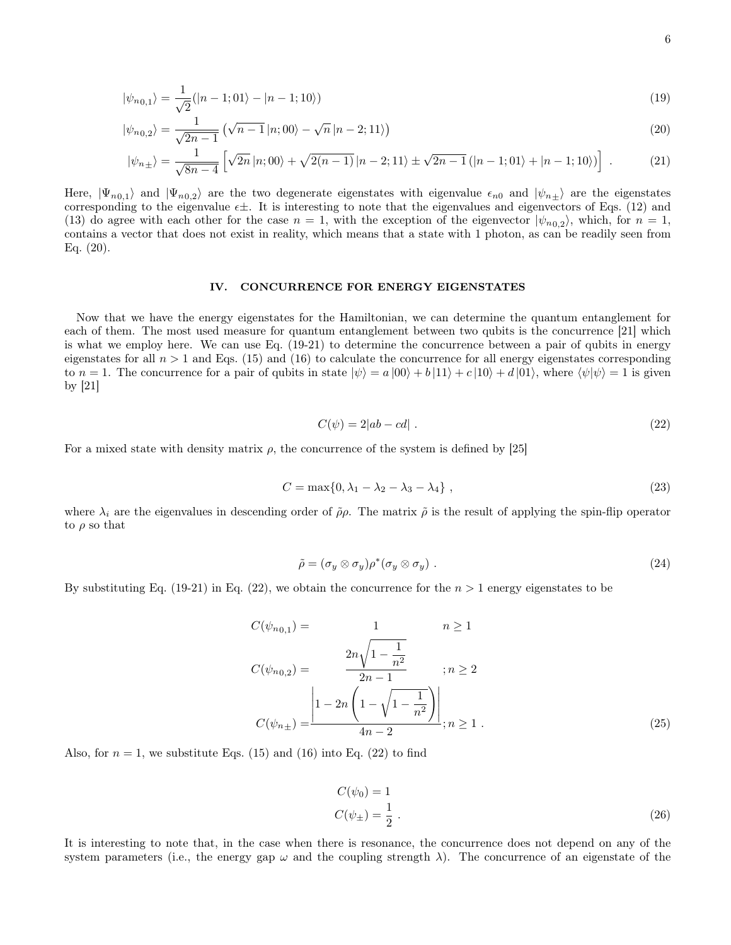<span id="page-5-1"></span>
$$
|\psi_{n0,1}\rangle = \frac{1}{\sqrt{2}}(|n-1;01\rangle - |n-1;10\rangle)
$$
\n(19)

$$
|\psi_{n0,2}\rangle = \frac{1}{\sqrt{2n-1}} \left( \sqrt{n-1} \left| n; 00 \right\rangle - \sqrt{n} \left| n-2; 11 \right\rangle \right) \tag{20}
$$

$$
|\psi_{n\pm}\rangle = \frac{1}{\sqrt{8n-4}} \left[ \sqrt{2n} \left| n; 00 \right\rangle + \sqrt{2(n-1)} \left| n-2; 11 \right\rangle \pm \sqrt{2n-1} \left( \left| n-1; 01 \right\rangle + \left| n-1; 10 \right\rangle \right) \right] \ . \tag{21}
$$

Here,  $|\Psi_{n0,1}\rangle$  and  $|\Psi_{n0,2}\rangle$  are the two degenerate eigenstates with eigenvalue  $\epsilon_{n0}$  and  $|\psi_{n\pm}\rangle$  are the eigenstates corresponding to the eigenvalue  $\epsilon \pm$ . It is interesting to note that the eigenvalues and eigenvectors of Eqs. [\(12\)](#page-4-0) and [\(13\)](#page-4-0) do agree with each other for the case  $n = 1$ , with the exception of the eigenvector  $|\psi_{n_0,2}\rangle$ , which, for  $n = 1$ , contains a vector that does not exist in reality, which means that a state with 1 photon, as can be readily seen from Eq. [\(20\)](#page-5-1).

### <span id="page-5-0"></span>IV. CONCURRENCE FOR ENERGY EIGENSTATES

Now that we have the energy eigenstates for the Hamiltonian, we can determine the quantum entanglement for each of them. The most used measure for quantum entanglement between two qubits is the concurrence [\[21\]](#page-13-19) which is what we employ here. We can use Eq. [\(19-21\)](#page-5-1) to determine the concurrence between a pair of qubits in energy eigenstates for all  $n > 1$  and Eqs. [\(15\)](#page-4-3) and [\(16\)](#page-4-3) to calculate the concurrence for all energy eigenstates corresponding to  $n = 1$ . The concurrence for a pair of qubits in state  $|\psi\rangle = a |00\rangle + b |11\rangle + c |10\rangle + d |01\rangle$ , where  $\langle \psi | \psi \rangle = 1$  is given by [\[21\]](#page-13-19)

$$
C(\psi) = 2|ab - cd| \tag{22}
$$

<span id="page-5-3"></span><span id="page-5-2"></span>For a mixed state with density matrix  $\rho$ , the concurrence of the system is defined by [\[25\]](#page-13-21)

$$
C = \max\{0, \lambda_1 - \lambda_2 - \lambda_3 - \lambda_4\},\tag{23}
$$

where  $\lambda_i$  are the eigenvalues in descending order of  $\tilde{\rho}\rho$ . The matrix  $\tilde{\rho}$  is the result of applying the spin-flip operator to  $\rho$  so that

$$
\tilde{\rho} = (\sigma_y \otimes \sigma_y) \rho^* (\sigma_y \otimes \sigma_y) \tag{24}
$$

By substituting Eq. [\(19-21\)](#page-5-1) in Eq. [\(22\)](#page-5-2), we obtain the concurrence for the  $n > 1$  energy eigenstates to be

$$
C(\psi_{n0,1}) = 1 \qquad n \ge 1
$$
  
\n
$$
C(\psi_{n0,2}) = \frac{2n\sqrt{1 - \frac{1}{n^2}}}{2n - 1} \qquad ; n \ge 2
$$
  
\n
$$
C(\psi_{n\pm}) = \frac{\left|1 - 2n\left(1 - \sqrt{1 - \frac{1}{n^2}}\right)\right|}{4n - 2}; n \ge 1.
$$
\n(25)

Also, for  $n = 1$ , we substitute Eqs. [\(15\)](#page-4-3) and [\(16\)](#page-4-3) into Eq. [\(22\)](#page-5-2) to find

$$
C(\psi_0) = 1
$$
  
\n
$$
C(\psi_{\pm}) = \frac{1}{2}.
$$
\n(26)

It is interesting to note that, in the case when there is resonance, the concurrence does not depend on any of the system parameters (i.e., the energy gap  $\omega$  and the coupling strength  $\lambda$ ). The concurrence of an eigenstate of the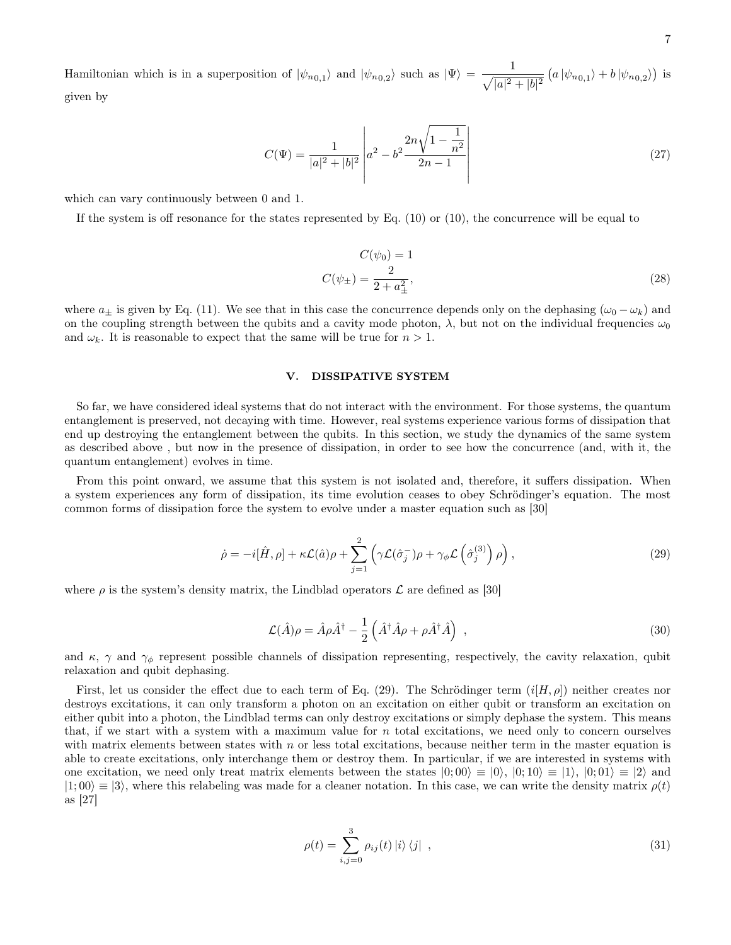Hamiltonian which is in a superposition of  $|\psi_{n0,1}\rangle$  and  $|\psi_{n0,2}\rangle$  such as  $|\Psi\rangle = \frac{1}{\sqrt{1-\frac{1}{2}}}$  $\frac{1}{\sqrt{|a|^2+|b|^2}}\left(a\ket{\psi_{n_0,1}}+b\ket{\psi_{n_0,2}}\right)$  is given by

$$
C(\Psi) = \frac{1}{|a|^2 + |b|^2} \left| a^2 - b^2 \frac{2n\sqrt{1 - \frac{1}{n^2}}}{2n - 1} \right| \tag{27}
$$

which can vary continuously between 0 and 1.

If the system is off resonance for the states represented by Eq.  $(10)$  or  $(10)$ , the concurrence will be equal to

$$
C(\psi_0) = 1
$$
  

$$
C(\psi_{\pm}) = \frac{2}{2 + a_{\pm}^2},
$$
 (28)

where  $a_{\pm}$  is given by Eq. [\(11\)](#page-4-4). We see that in this case the concurrence depends only on the dephasing  $(\omega_0 - \omega_k)$  and on the coupling strength between the qubits and a cavity mode photon,  $\lambda$ , but not on the individual frequencies  $\omega_0$ and  $\omega_k$ . It is reasonable to expect that the same will be true for  $n > 1$ .

#### <span id="page-6-0"></span>V. DISSIPATIVE SYSTEM

So far, we have considered ideal systems that do not interact with the environment. For those systems, the quantum entanglement is preserved, not decaying with time. However, real systems experience various forms of dissipation that end up destroying the entanglement between the qubits. In this section, we study the dynamics of the same system as described above , but now in the presence of dissipation, in order to see how the concurrence (and, with it, the quantum entanglement) evolves in time.

<span id="page-6-1"></span>From this point onward, we assume that this system is not isolated and, therefore, it suffers dissipation. When a system experiences any form of dissipation, its time evolution ceases to obey Schrödinger's equation. The most common forms of dissipation force the system to evolve under a master equation such as [\[30\]](#page-13-26)

$$
\dot{\rho} = -i[\hat{H}, \rho] + \kappa \mathcal{L}(\hat{a})\rho + \sum_{j=1}^{2} \left( \gamma \mathcal{L}(\hat{\sigma}_j^-)\rho + \gamma_\phi \mathcal{L}\left(\hat{\sigma}_j^{(3)}\right)\rho \right),\tag{29}
$$

<span id="page-6-3"></span>where  $\rho$  is the system's density matrix, the Lindblad operators  $\mathcal L$  are defined as [\[30\]](#page-13-26)

$$
\mathcal{L}(\hat{A})\rho = \hat{A}\rho\hat{A}^{\dagger} - \frac{1}{2} \left( \hat{A}^{\dagger}\hat{A}\rho + \rho \hat{A}^{\dagger}\hat{A} \right) , \qquad (30)
$$

and  $\kappa$ ,  $\gamma$  and  $\gamma_{\phi}$  represent possible channels of dissipation representing, respectively, the cavity relaxation, qubit relaxation and qubit dephasing.

<span id="page-6-2"></span>First, let us consider the effect due to each term of Eq. [\(29\)](#page-6-1). The Schrödinger term  $(i|H,\rho)$  neither creates nor destroys excitations, it can only transform a photon on an excitation on either qubit or transform an excitation on either qubit into a photon, the Lindblad terms can only destroy excitations or simply dephase the system. This means that, if we start with a system with a maximum value for  $n$  total excitations, we need only to concern ourselves with matrix elements between states with  $n$  or less total excitations, because neither term in the master equation is able to create excitations, only interchange them or destroy them. In particular, if we are interested in systems with one excitation, we need only treat matrix elements between the states  $|0;00\rangle \equiv |0\rangle, |0;10\rangle \equiv |1\rangle, |0;01\rangle \equiv |2\rangle$  and  $|1;00\rangle \equiv |3\rangle$ , where this relabeling was made for a cleaner notation. In this case, we can write the density matrix  $\rho(t)$ as [\[27\]](#page-13-23)

$$
\rho(t) = \sum_{i,j=0}^{3} \rho_{ij}(t) |i\rangle\langle j| , \qquad (31)
$$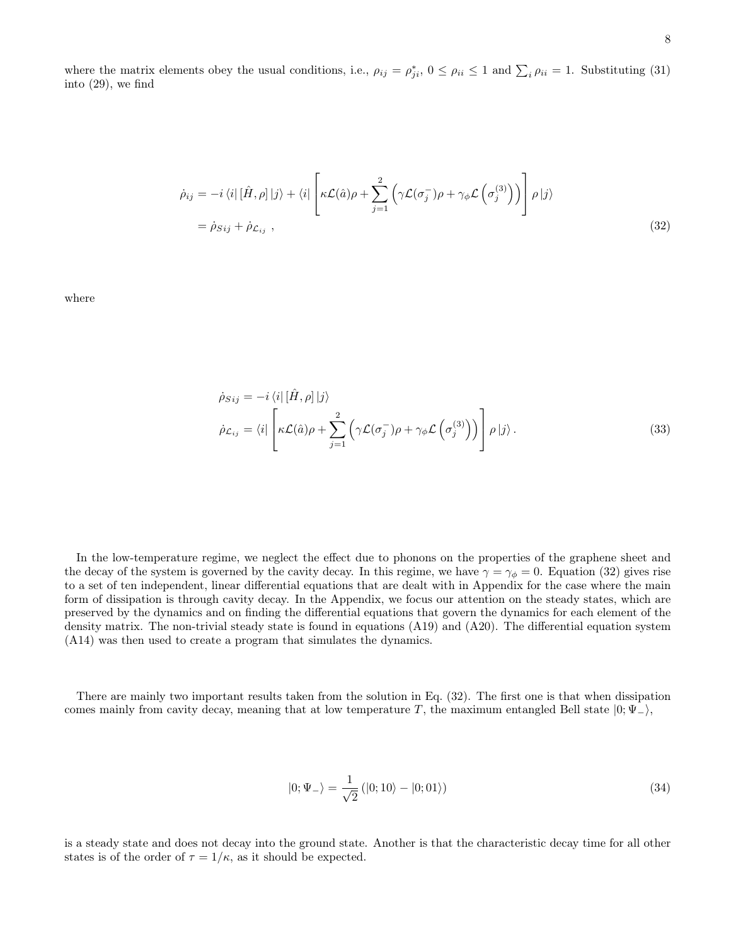where the matrix elements obey the usual conditions, i.e.,  $\rho_{ij} = \rho_{ji}^*$ ,  $0 \le \rho_{ii} \le 1$  and  $\sum_i \rho_{ii} = 1$ . Substituting [\(31\)](#page-6-2) into [\(29\)](#page-6-1), we find

<span id="page-7-0"></span>
$$
\dot{\rho}_{ij} = -i \langle i | [\hat{H}, \rho] | j \rangle + \langle i | \left[ \kappa \mathcal{L}(\hat{a}) \rho + \sum_{j=1}^{2} \left( \gamma \mathcal{L}(\sigma_j^-) \rho + \gamma_{\phi} \mathcal{L}(\sigma_j^{(3)}) \right) \right] \rho | j \rangle
$$
  
=  $\dot{\rho}_{Sij} + \dot{\rho}_{\mathcal{L}_{ij}}$ , (32)

where

<span id="page-7-2"></span>
$$
\dot{\rho}_{Sij} = -i \left\langle i \middle| \left[ \hat{H}, \rho \middle| \middle| j \right\rangle \right\rangle
$$
\n
$$
\dot{\rho}_{\mathcal{L}_{ij}} = \left\langle i \middle| \left[ \kappa \mathcal{L}(\hat{a}) \rho + \sum_{j=1}^{2} \left( \gamma \mathcal{L}(\sigma_j^-) \rho + \gamma_\phi \mathcal{L} \left( \sigma_j^{(3)} \right) \right) \right] \rho \left| j \right\rangle. \tag{33}
$$

In the low-temperature regime, we neglect the effect due to phonons on the properties of the graphene sheet and the decay of the system is governed by the cavity decay. In this regime, we have  $\gamma = \gamma_{\phi} = 0$ . Equation [\(32\)](#page-7-0) gives rise to a set of ten independent, linear differential equations that are dealt with in Appendix for the case where the main form of dissipation is through cavity decay. In the Appendix, we focus our attention on the steady states, which are preserved by the dynamics and on finding the differential equations that govern the dynamics for each element of the density matrix. The non-trivial steady state is found in equations [\(A19\)](#page-16-0) and [\(A20\)](#page-16-1). The differential equation system [\(A14\)](#page-16-2) was then used to create a program that simulates the dynamics.

<span id="page-7-1"></span>There are mainly two important results taken from the solution in Eq. [\(32\)](#page-7-0). The first one is that when dissipation comes mainly from cavity decay, meaning that at low temperature T, the maximum entangled Bell state  $|0; \Psi_-\rangle$ ,

$$
|0; \Psi_{-}\rangle = \frac{1}{\sqrt{2}} (|0; 10\rangle - |0; 01\rangle)
$$
 (34)

is a steady state and does not decay into the ground state. Another is that the characteristic decay time for all other states is of the order of  $\tau = 1/\kappa$ , as it should be expected.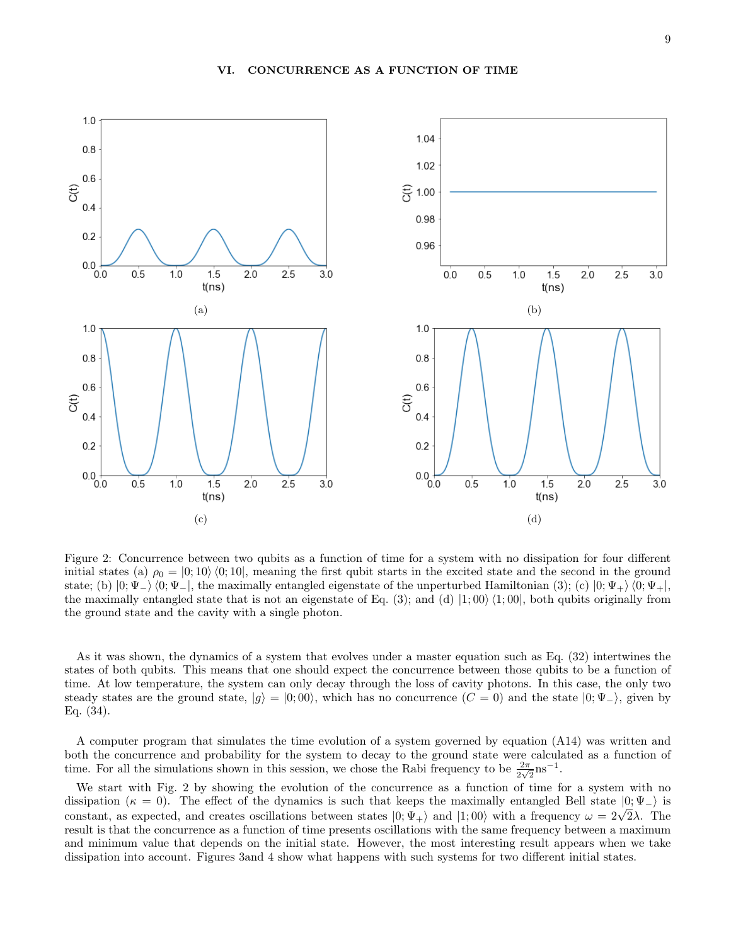<span id="page-8-1"></span><span id="page-8-0"></span>

Figure 2: Concurrence between two qubits as a function of time for a system with no dissipation for four different initial states (a)  $\rho_0 = |0;10\rangle \langle 0;10|$ , meaning the first qubit starts in the excited state and the second in the ground state; (b)  $|0; \Psi_-\rangle$   $\langle 0; \Psi_-|$ , the maximally entangled eigenstate of the unperturbed Hamiltonian [\(3\)](#page-3-1); (c)  $|0; \Psi_+\rangle$   $\langle 0; \Psi_+|$ , the maximally entangled state that is not an eigenstate of Eq. [\(3\)](#page-3-1); and (d)  $|1;00\rangle\langle1;00|$ , both qubits originally from the ground state and the cavity with a single photon.

As it was shown, the dynamics of a system that evolves under a master equation such as Eq. [\(32\)](#page-7-0) intertwines the states of both qubits. This means that one should expect the concurrence between those qubits to be a function of time. At low temperature, the system can only decay through the loss of cavity photons. In this case, the only two steady states are the ground state,  $|g\rangle = |0;00\rangle$ , which has no concurrence  $(C = 0)$  and the state  $|0;\Psi_{-}\rangle$ , given by Eq. [\(34\)](#page-7-1).

A computer program that simulates the time evolution of a system governed by equation [\(A14\)](#page-16-2) was written and both the concurrence and probability for the system to decay to the ground state were calculated as a function of time. For all the simulations shown in this session, we chose the Rabi frequency to be  $\frac{2\pi}{2\sqrt{2}}$ ns<sup>-1</sup>.

We start with Fig. [2](#page-8-1) by showing the evolution of the concurrence as a function of time for a system with no dissipation ( $\kappa = 0$ ). The effect of the dynamics is such that keeps the maximally entangled Bell state  $|0; \Psi_-\rangle$  is constant, as expected, and creates oscillations between states  $|0; \Psi_+\rangle$  and  $|1; 00\rangle$  with a frequency  $\omega = 2\sqrt{2}\lambda$ . The result is that the concurrence as a function of time presents oscillations with the same frequency between a maximum and minimum value that depends on the initial state. However, the most interesting result appears when we take dissipation into account. Figures [3a](#page-9-0)nd [4](#page-10-1) show what happens with such systems for two different initial states.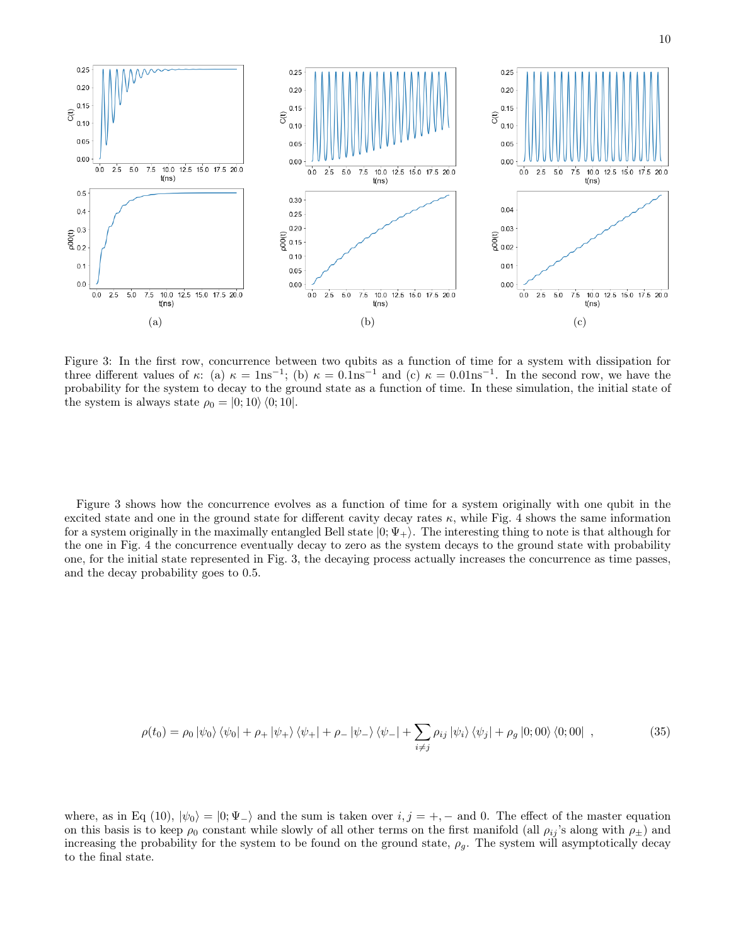

10

<span id="page-9-0"></span>

Figure 3: In the first row, concurrence between two qubits as a function of time for a system with dissipation for three different values of  $\kappa$ : (a)  $\kappa = 1$ ns<sup>-1</sup>; (b)  $\kappa = 0.1$ ns<sup>-1</sup> and (c)  $\kappa = 0.01$ ns<sup>-1</sup>. In the second row, we have the probability for the system to decay to the ground state as a function of time. In these simulation, the initial state of the system is always state  $\rho_0 = |0;10\rangle \langle 0;10|$ .

Figure [3](#page-9-0) shows how the concurrence evolves as a function of time for a system originally with one qubit in the excited state and one in the ground state for different cavity decay rates  $\kappa$ , while Fig. [4](#page-10-1) shows the same information for a system originally in the maximally entangled Bell state  $|0; \Psi_+\rangle$ . The interesting thing to note is that although for the one in Fig. [4](#page-10-1) the concurrence eventually decay to zero as the system decays to the ground state with probability one, for the initial state represented in Fig. [3,](#page-9-0) the decaying process actually increases the concurrence as time passes, and the decay probability goes to 0.5.

$$
\rho(t_0) = \rho_0 \left| \psi_0 \right\rangle \left\langle \psi_0 \right| + \rho_+ \left| \psi_+ \right\rangle \left\langle \psi_+ \right| + \rho_- \left| \psi_- \right\rangle \left\langle \psi_- \right| + \sum_{i \neq j} \rho_{ij} \left| \psi_i \right\rangle \left\langle \psi_j \right| + \rho_g \left| 0; 00 \right\rangle \left\langle 0; 00 \right| , \tag{35}
$$

where, as in Eq [\(10\)](#page-4-2),  $|\psi_0\rangle = |0; \Psi_-\rangle$  and the sum is taken over  $i, j = +, -$  and 0. The effect of the master equation on this basis is to keep  $\rho_0$  constant while slowly of all other terms on the first manifold (all  $\rho_{ij}$ 's along with  $\rho_{\pm}$ ) and increasing the probability for the system to be found on the ground state,  $\rho_g$ . The system will asymptotically decay to the final state.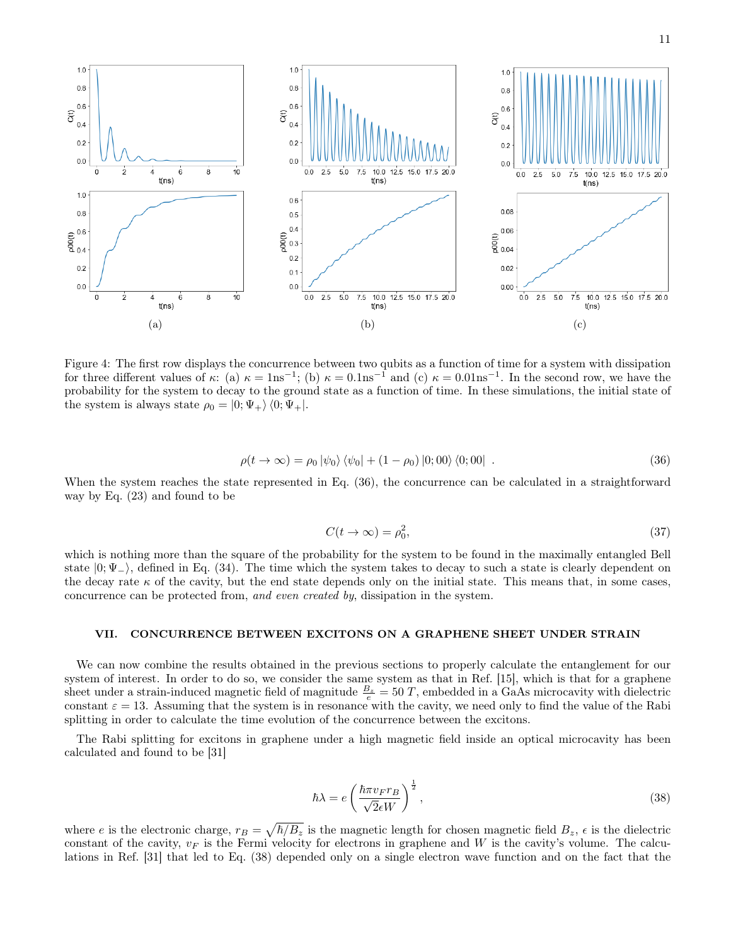<span id="page-10-1"></span>

Figure 4: The first row displays the concurrence between two qubits as a function of time for a system with dissipation for three different values of  $\kappa$ : (a)  $\kappa = 1$ ns<sup>-1</sup>; (b)  $\kappa = 0.1$ ns<sup>-1</sup> and (c)  $\kappa = 0.01$ ns<sup>-1</sup>. In the second row, we have the probability for the system to decay to the ground state as a function of time. In these simulations, the initial state of the system is always state  $\rho_0 = |0; \Psi_+\rangle \langle 0; \Psi_+|$ .

$$
\rho(t \to \infty) = \rho_0 |\psi_0\rangle \langle \psi_0| + (1 - \rho_0) |0; 00\rangle \langle 0; 00| . \qquad (36)
$$

<span id="page-10-2"></span>When the system reaches the state represented in Eq. [\(36\)](#page-10-2), the concurrence can be calculated in a straightforward way by Eq. [\(23\)](#page-5-3) and found to be

$$
C(t \to \infty) = \rho_0^2,\tag{37}
$$

which is nothing more than the square of the probability for the system to be found in the maximally entangled Bell state  $|0; \Psi_{-}\rangle$ , defined in Eq. [\(34\)](#page-7-1). The time which the system takes to decay to such a state is clearly dependent on the decay rate  $\kappa$  of the cavity, but the end state depends only on the initial state. This means that, in some cases, concurrence can be protected from, and even created by, dissipation in the system.

## <span id="page-10-0"></span>VII. CONCURRENCE BETWEEN EXCITONS ON A GRAPHENE SHEET UNDER STRAIN

We can now combine the results obtained in the previous sections to properly calculate the entanglement for our system of interest. In order to do so, we consider the same system as that in Ref. [\[15\]](#page-13-13), which is that for a graphene sheet under a strain-induced magnetic field of magnitude  $\frac{B_z}{e} = 50$  T, embedded in a GaAs microcavity with dielectric constant  $\varepsilon = 13$ . Assuming that the system is in resonance with the cavity, we need only to find the value of the Rabi splitting in order to calculate the time evolution of the concurrence between the excitons.

<span id="page-10-3"></span>The Rabi splitting for excitons in graphene under a high magnetic field inside an optical microcavity has been calculated and found to be [\[31\]](#page-13-27)

$$
\hbar \lambda = e \left( \frac{\hbar \pi v_F r_B}{\sqrt{2} \epsilon W} \right)^{\frac{1}{2}},\tag{38}
$$

where e is the electronic charge,  $r_B = \sqrt{\hbar/B_z}$  is the magnetic length for chosen magnetic field  $B_z$ ,  $\epsilon$  is the dielectric constant of the cavity,  $v_F$  is the Fermi velocity for electrons in graphene and W is the cavity's volume. The calculations in Ref. [\[31\]](#page-13-27) that led to Eq. [\(38\)](#page-10-3) depended only on a single electron wave function and on the fact that the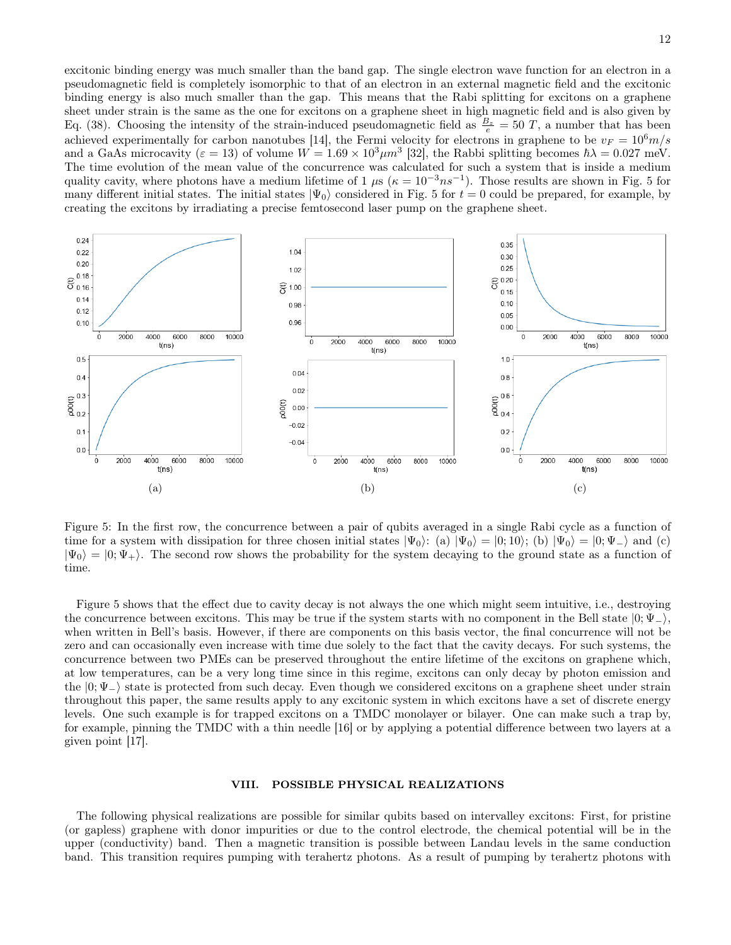excitonic binding energy was much smaller than the band gap. The single electron wave function for an electron in a pseudomagnetic field is completely isomorphic to that of an electron in an external magnetic field and the excitonic binding energy is also much smaller than the gap. This means that the Rabi splitting for excitons on a graphene sheet under strain is the same as the one for excitons on a graphene sheet in high magnetic field and is also given by Eq. [\(38\)](#page-10-3). Choosing the intensity of the strain-induced pseudomagnetic field as  $\frac{B_z}{e} = 50 T$ , a number that has been achieved experimentally for carbon nanotubes [\[14\]](#page-13-12), the Fermi velocity for electrons in graphene to be  $v_F = 10^6 m/s$ and a GaAs microcavity ( $\varepsilon = 13$ ) of volume  $W = 1.69 \times 10^3 \mu m^3$  [\[32\]](#page-13-28), the Rabbi splitting becomes  $\hbar \lambda = 0.027$  meV. The time evolution of the mean value of the concurrence was calculated for such a system that is inside a medium quality cavity, where photons have a medium lifetime of 1  $\mu$ s ( $\kappa = 10^{-3}ns^{-1}$ ). Those results are shown in Fig. [5](#page-11-1) for many different initial states. The initial states  $|\Psi_0\rangle$  considered in Fig. [5](#page-11-1) for  $t = 0$  could be prepared, for example, by creating the excitons by irradiating a precise femtosecond laser pump on the graphene sheet.

<span id="page-11-1"></span>

Figure 5: In the first row, the concurrence between a pair of qubits averaged in a single Rabi cycle as a function of time for a system with dissipation for three chosen initial states  $|\Psi_0\rangle$ : (a)  $|\Psi_0\rangle = |0;10\rangle$ ; (b)  $|\Psi_0\rangle = |0;\Psi_-\rangle$  and (c)  $|\Psi_0\rangle = |0; \Psi_+\rangle$ . The second row shows the probability for the system decaying to the ground state as a function of time.

Figure [5](#page-11-1) shows that the effect due to cavity decay is not always the one which might seem intuitive, i.e., destroying the concurrence between excitons. This may be true if the system starts with no component in the Bell state  $|0; \Psi_-\rangle$ , when written in Bell's basis. However, if there are components on this basis vector, the final concurrence will not be zero and can occasionally even increase with time due solely to the fact that the cavity decays. For such systems, the concurrence between two PMEs can be preserved throughout the entire lifetime of the excitons on graphene which, at low temperatures, can be a very long time since in this regime, excitons can only decay by photon emission and the  $|0; \Psi_{-}\rangle$  state is protected from such decay. Even though we considered excitons on a graphene sheet under strain throughout this paper, the same results apply to any excitonic system in which excitons have a set of discrete energy levels. One such example is for trapped excitons on a TMDC monolayer or bilayer. One can make such a trap by, for example, pinning the TMDC with a thin needle [\[16\]](#page-13-14) or by applying a potential difference between two layers at a given point [\[17\]](#page-13-15).

### <span id="page-11-0"></span>VIII. POSSIBLE PHYSICAL REALIZATIONS

The following physical realizations are possible for similar qubits based on intervalley excitons: First, for pristine (or gapless) graphene with donor impurities or due to the control electrode, the chemical potential will be in the upper (conductivity) band. Then a magnetic transition is possible between Landau levels in the same conduction band. This transition requires pumping with terahertz photons. As a result of pumping by terahertz photons with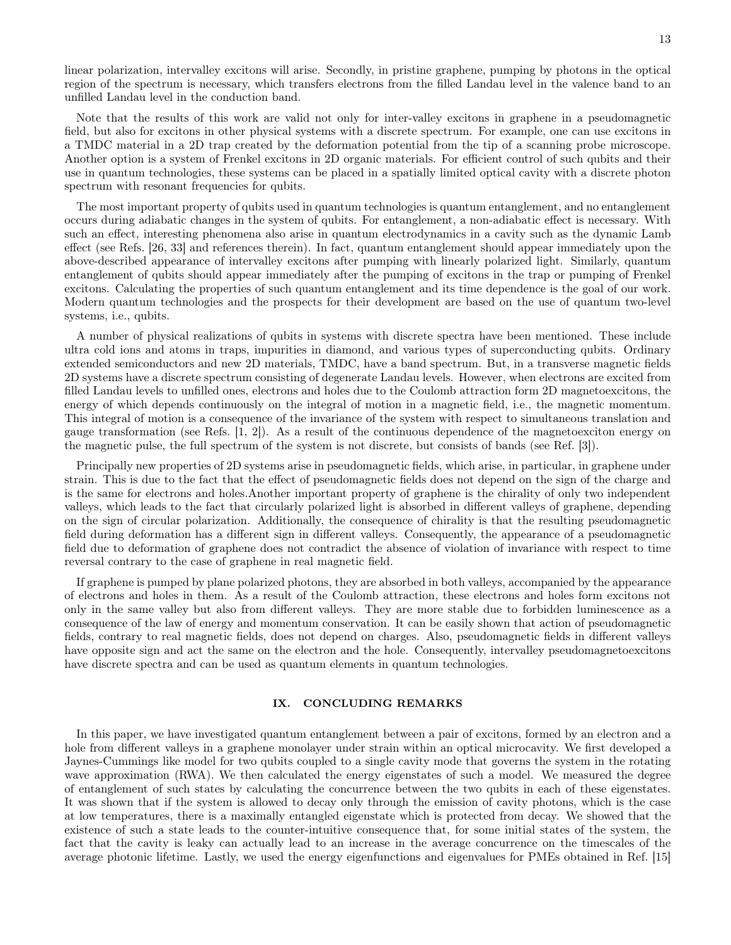linear polarization, intervalley excitons will arise. Secondly, in pristine graphene, pumping by photons in the optical region of the spectrum is necessary, which transfers electrons from the filled Landau level in the valence band to an unfilled Landau level in the conduction band.

Note that the results of this work are valid not only for inter-valley excitons in graphene in a pseudomagnetic field, but also for excitons in other physical systems with a discrete spectrum. For example, one can use excitons in a TMDC material in a 2D trap created by the deformation potential from the tip of a scanning probe microscope. Another option is a system of Frenkel excitons in 2D organic materials. For efficient control of such qubits and their use in quantum technologies, these systems can be placed in a spatially limited optical cavity with a discrete photon spectrum with resonant frequencies for qubits.

The most important property of qubits used in quantum technologies is quantum entanglement, and no entanglement occurs during adiabatic changes in the system of qubits. For entanglement, a non-adiabatic effect is necessary. With such an effect, interesting phenomena also arise in quantum electrodynamics in a cavity such as the dynamic Lamb effect (see Refs. [\[26,](#page-13-22) [33\]](#page-13-29) and references therein). In fact, quantum entanglement should appear immediately upon the above-described appearance of intervalley excitons after pumping with linearly polarized light. Similarly, quantum entanglement of qubits should appear immediately after the pumping of excitons in the trap or pumping of Frenkel excitons. Calculating the properties of such quantum entanglement and its time dependence is the goal of our work. Modern quantum technologies and the prospects for their development are based on the use of quantum two-level systems, i.e., qubits.

A number of physical realizations of qubits in systems with discrete spectra have been mentioned. These include ultra cold ions and atoms in traps, impurities in diamond, and various types of superconducting qubits. Ordinary extended semiconductors and new 2D materials, TMDC, have a band spectrum. But, in a transverse magnetic fields 2D systems have a discrete spectrum consisting of degenerate Landau levels. However, when electrons are excited from filled Landau levels to unfilled ones, electrons and holes due to the Coulomb attraction form 2D magnetoexcitons, the energy of which depends continuously on the integral of motion in a magnetic field, i.e., the magnetic momentum. This integral of motion is a consequence of the invariance of the system with respect to simultaneous translation and gauge transformation (see Refs. [\[1,](#page-13-0) [2\]](#page-13-1)). As a result of the continuous dependence of the magnetoexciton energy on the magnetic pulse, the full spectrum of the system is not discrete, but consists of bands (see Ref. [\[3\]](#page-13-2)).

Principally new properties of 2D systems arise in pseudomagnetic fields, which arise, in particular, in graphene under strain. This is due to the fact that the effect of pseudomagnetic fields does not depend on the sign of the charge and is the same for electrons and holes.Another important property of graphene is the chirality of only two independent valleys, which leads to the fact that circularly polarized light is absorbed in different valleys of graphene, depending on the sign of circular polarization. Additionally, the consequence of chirality is that the resulting pseudomagnetic field during deformation has a different sign in different valleys. Consequently, the appearance of a pseudomagnetic field due to deformation of graphene does not contradict the absence of violation of invariance with respect to time reversal contrary to the case of graphene in real magnetic field.

If graphene is pumped by plane polarized photons, they are absorbed in both valleys, accompanied by the appearance of electrons and holes in them. As a result of the Coulomb attraction, these electrons and holes form excitons not only in the same valley but also from different valleys. They are more stable due to forbidden luminescence as a consequence of the law of energy and momentum conservation. It can be easily shown that action of pseudomagnetic fields, contrary to real magnetic fields, does not depend on charges. Also, pseudomagnetic fields in different valleys have opposite sign and act the same on the electron and the hole. Consequently, intervalley pseudomagnetoexcitons have discrete spectra and can be used as quantum elements in quantum technologies.

# <span id="page-12-0"></span>IX. CONCLUDING REMARKS

In this paper, we have investigated quantum entanglement between a pair of excitons, formed by an electron and a hole from different valleys in a graphene monolayer under strain within an optical microcavity. We first developed a Jaynes-Cummings like model for two qubits coupled to a single cavity mode that governs the system in the rotating wave approximation (RWA). We then calculated the energy eigenstates of such a model. We measured the degree of entanglement of such states by calculating the concurrence between the two qubits in each of these eigenstates. It was shown that if the system is allowed to decay only through the emission of cavity photons, which is the case at low temperatures, there is a maximally entangled eigenstate which is protected from decay. We showed that the existence of such a state leads to the counter-intuitive consequence that, for some initial states of the system, the fact that the cavity is leaky can actually lead to an increase in the average concurrence on the timescales of the average photonic lifetime. Lastly, we used the energy eigenfunctions and eigenvalues for PMEs obtained in Ref. [\[15\]](#page-13-13)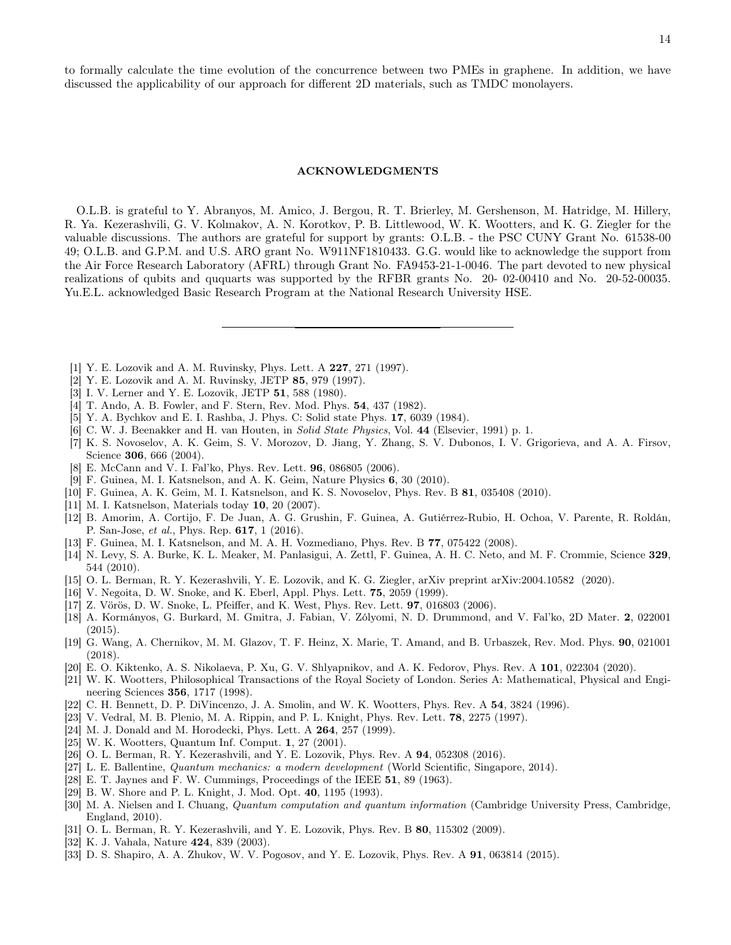to formally calculate the time evolution of the concurrence between two PMEs in graphene. In addition, we have discussed the applicability of our approach for different 2D materials, such as TMDC monolayers.

### ACKNOWLEDGMENTS

O.L.B. is grateful to Y. Abranyos, M. Amico, J. Bergou, R. T. Brierley, M. Gershenson, M. Hatridge, M. Hillery, R. Ya. Kezerashvili, G. V. Kolmakov, A. N. Korotkov, P. B. Littlewood, W. K. Wootters, and K. G. Ziegler for the valuable discussions. The authors are grateful for support by grants: O.L.B. - the PSC CUNY Grant No. 61538-00 49; O.L.B. and G.P.M. and U.S. ARO grant No. W911NF1810433. G.G. would like to acknowledge the support from the Air Force Research Laboratory (AFRL) through Grant No. FA9453-21-1-0046. The part devoted to new physical realizations of qubits and ququarts was supported by the RFBR grants No. 20- 02-00410 and No. 20-52-00035. Yu.E.L. acknowledged Basic Research Program at the National Research University HSE.

- <span id="page-13-0"></span>[1] Y. E. Lozovik and A. M. Ruvinsky, Phys. Lett. A 227, 271 (1997).
- <span id="page-13-1"></span>[2] Y. E. Lozovik and A. M. Ruvinsky, JETP 85, 979 (1997).
- <span id="page-13-2"></span>[3] I. V. Lerner and Y. E. Lozovik, JETP 51, 588 (1980).
- <span id="page-13-3"></span>[4] T. Ando, A. B. Fowler, and F. Stern, Rev. Mod. Phys. 54, 437 (1982).
- [5] Y. A. Bychkov and E. I. Rashba, J. Phys. C: Solid state Phys. 17, 6039 (1984).
- <span id="page-13-4"></span>[6] C. W. J. Beenakker and H. van Houten, in Solid State Physics, Vol. 44 (Elsevier, 1991) p. 1.
- <span id="page-13-5"></span>[7] K. S. Novoselov, A. K. Geim, S. V. Morozov, D. Jiang, Y. Zhang, S. V. Dubonos, I. V. Grigorieva, and A. A. Firsov, Science **306**, 666 (2004).
- <span id="page-13-6"></span>[8] E. McCann and V. I. Fal'ko, Phys. Rev. Lett. 96, 086805 (2006).
- <span id="page-13-9"></span>[9] F. Guinea, M. I. Katsnelson, and A. K. Geim, Nature Physics 6, 30 (2010).
- <span id="page-13-7"></span>[10] F. Guinea, A. K. Geim, M. I. Katsnelson, and K. S. Novoselov, Phys. Rev. B 81, 035408 (2010).
- <span id="page-13-8"></span>[11] M. I. Katsnelson, Materials today 10, 20 (2007).
- <span id="page-13-10"></span>[12] B. Amorim, A. Cortijo, F. De Juan, A. G. Grushin, F. Guinea, A. Gutiérrez-Rubio, H. Ochoa, V. Parente, R. Roldán, P. San-Jose, et al., Phys. Rep. 617, 1 (2016).
- <span id="page-13-11"></span>[13] F. Guinea, M. I. Katsnelson, and M. A. H. Vozmediano, Phys. Rev. B 77, 075422 (2008).
- <span id="page-13-12"></span>[14] N. Levy, S. A. Burke, K. L. Meaker, M. Panlasigui, A. Zettl, F. Guinea, A. H. C. Neto, and M. F. Crommie, Science 329, 544 (2010).
- <span id="page-13-13"></span>[15] O. L. Berman, R. Y. Kezerashvili, Y. E. Lozovik, and K. G. Ziegler, arXiv preprint arXiv:2004.10582 (2020).
- <span id="page-13-14"></span>[16] V. Negoita, D. W. Snoke, and K. Eberl, Appl. Phys. Lett. 75, 2059 (1999).
- <span id="page-13-15"></span>[17] Z. Vörös, D. W. Snoke, L. Pfeiffer, and K. West, Phys. Rev. Lett. 97, 016803 (2006).
- <span id="page-13-16"></span>[18] A. Kormányos, G. Burkard, M. Gmitra, J. Fabian, V. Zólyomi, N. D. Drummond, and V. Fal'ko, 2D Mater. 2, 022001  $(2015).$
- <span id="page-13-17"></span>[19] G. Wang, A. Chernikov, M. M. Glazov, T. F. Heinz, X. Marie, T. Amand, and B. Urbaszek, Rev. Mod. Phys. 90, 021001 (2018).
- <span id="page-13-18"></span>[20] E. O. Kiktenko, A. S. Nikolaeva, P. Xu, G. V. Shlyapnikov, and A. K. Fedorov, Phys. Rev. A 101, 022304 (2020).
- <span id="page-13-19"></span>[21] W. K. Wootters, Philosophical Transactions of the Royal Society of London. Series A: Mathematical, Physical and Engineering Sciences 356, 1717 (1998).
- <span id="page-13-20"></span>[22] C. H. Bennett, D. P. DiVincenzo, J. A. Smolin, and W. K. Wootters, Phys. Rev. A 54, 3824 (1996).
- [23] V. Vedral, M. B. Plenio, M. A. Rippin, and P. L. Knight, Phys. Rev. Lett. 78, 2275 (1997).
- [24] M. J. Donald and M. Horodecki, Phys. Lett. A **264**, 257 (1999).
- <span id="page-13-21"></span>[25] W. K. Wootters, Quantum Inf. Comput. 1, 27 (2001).
- <span id="page-13-22"></span>[26] O. L. Berman, R. Y. Kezerashvili, and Y. E. Lozovik, Phys. Rev. A 94, 052308 (2016).
- <span id="page-13-23"></span>[27] L. E. Ballentine, Quantum mechanics: a modern development (World Scientific, Singapore, 2014).
- <span id="page-13-24"></span>[28] E. T. Jaynes and F. W. Cummings, Proceedings of the IEEE 51, 89 (1963).
- <span id="page-13-25"></span>[29] B. W. Shore and P. L. Knight, J. Mod. Opt. 40, 1195 (1993).
- <span id="page-13-26"></span>[30] M. A. Nielsen and I. Chuang, *Quantum computation and quantum information* (Cambridge University Press, Cambridge, England, 2010).
- <span id="page-13-27"></span>[31] O. L. Berman, R. Y. Kezerashvili, and Y. E. Lozovik, Phys. Rev. B 80, 115302 (2009).
- <span id="page-13-28"></span>[32] K. J. Vahala, Nature 424, 839 (2003).
- <span id="page-13-29"></span>[33] D. S. Shapiro, A. A. Zhukov, W. V. Pogosov, and Y. E. Lozovik, Phys. Rev. A 91, 063814 (2015).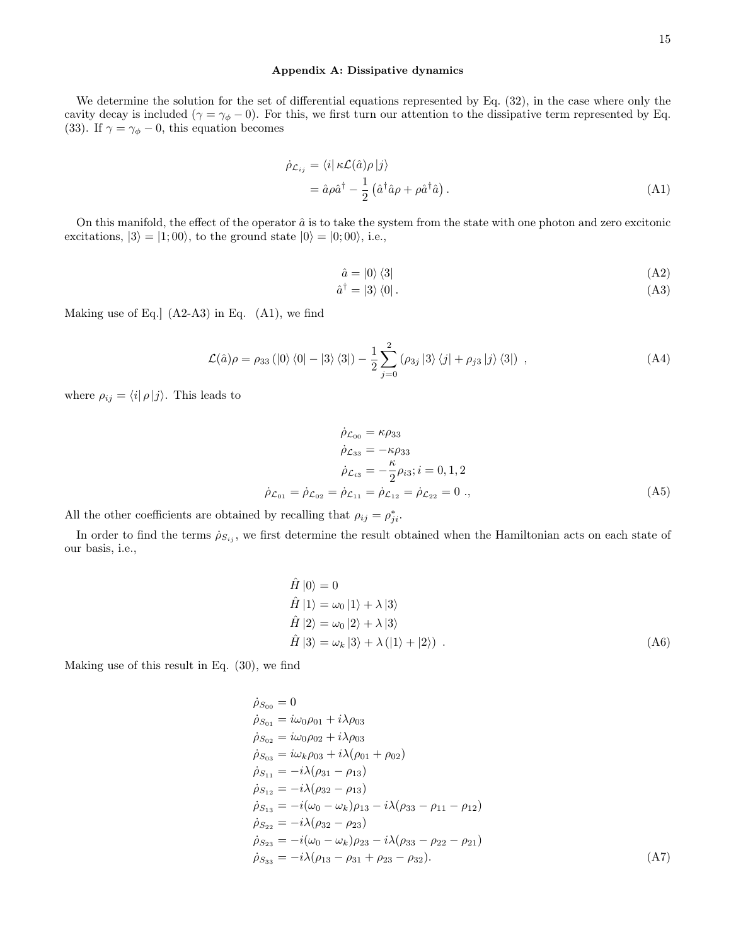# Appendix A: Dissipative dynamics

We determine the solution for the set of differential equations represented by Eq. [\(32\)](#page-7-0), in the case where only the cavity decay is included ( $\gamma = \gamma_{\phi} - 0$ ). For this, we first turn our attention to the dissipative term represented by Eq. [\(33\)](#page-7-2). If  $\gamma = \gamma_{\phi} - 0$ , this equation becomes

<span id="page-14-1"></span>
$$
\dot{\rho}_{\mathcal{L}_{ij}} = \langle i | \kappa \mathcal{L}(\hat{a}) \rho | j \rangle \n= \hat{a} \rho \hat{a}^{\dagger} - \frac{1}{2} (\hat{a}^{\dagger} \hat{a} \rho + \rho \hat{a}^{\dagger} \hat{a}).
$$
\n(A1)

On this manifold, the effect of the operator  $\hat{a}$  is to take the system from the state with one photon and zero excitonic excitations,  $|3\rangle = |1;00\rangle$ , to the ground state  $|0\rangle = |0;00\rangle$ , i.e.,

<span id="page-14-0"></span>
$$
\hat{a} = |0\rangle\langle 3| \tag{A2}
$$

$$
\hat{a}^{\dagger} = |3\rangle\langle 0| \,. \tag{A3}
$$

Making use of Eq.] [\(A2-A3\)](#page-14-0) in Eq. [\(A1\)](#page-14-1), we find

$$
\mathcal{L}(\hat{a})\rho = \rho_{33} (|0\rangle \langle 0| - |3\rangle \langle 3|) - \frac{1}{2} \sum_{j=0}^{2} (\rho_{3j} |3\rangle \langle j| + \rho_{j3} |j\rangle \langle 3|) , \qquad (A4)
$$

where  $\rho_{ij} = \langle i | \rho | j \rangle$ . This leads to

<span id="page-14-2"></span>
$$
\dot{\rho}_{\mathcal{L}_{00}} = \kappa \rho_{33}
$$
  
\n
$$
\dot{\rho}_{\mathcal{L}_{33}} = -\kappa \rho_{33}
$$
  
\n
$$
\dot{\rho}_{\mathcal{L}_{i3}} = -\frac{\kappa}{2} \rho_{i3}; i = 0, 1, 2
$$
  
\n
$$
\dot{\rho}_{\mathcal{L}_{01}} = \dot{\rho}_{\mathcal{L}_{02}} = \dot{\rho}_{\mathcal{L}_{11}} = \dot{\rho}_{\mathcal{L}_{12}} = \dot{\rho}_{\mathcal{L}_{22}} = 0 \quad ,
$$
\n(A5)

All the other coefficients are obtained by recalling that  $\rho_{ij} = \rho_{ji}^*$ .

In order to find the terms  $\dot{\rho}_{S_{ij}}$ , we first determine the result obtained when the Hamiltonian acts on each state of our basis, i.e.,

$$
\hat{H} |0\rangle = 0
$$
\n
$$
\hat{H} |1\rangle = \omega_0 |1\rangle + \lambda |3\rangle
$$
\n
$$
\hat{H} |2\rangle = \omega_0 |2\rangle + \lambda |3\rangle
$$
\n
$$
\hat{H} |3\rangle = \omega_k |3\rangle + \lambda (|1\rangle + |2\rangle) .
$$
\n(A6)

Making use of this result in Eq. [\(30\)](#page-6-3), we find

<span id="page-14-3"></span>
$$
\dot{\rho}_{S_{00}} = 0\n\dot{\rho}_{S_{01}} = i\omega_0 \rho_{01} + i\lambda \rho_{03}\n\dot{\rho}_{S_{02}} = i\omega_0 \rho_{02} + i\lambda \rho_{03}\n\dot{\rho}_{S_{03}} = i\omega_k \rho_{03} + i\lambda (\rho_{01} + \rho_{02})\n\dot{\rho}_{S_{11}} = -i\lambda (\rho_{31} - \rho_{13})\n\dot{\rho}_{S_{12}} = -i\lambda (\rho_{32} - \rho_{13})\n\dot{\rho}_{S_{13}} = -i(\omega_0 - \omega_k) \rho_{13} - i\lambda (\rho_{33} - \rho_{11} - \rho_{12})\n\dot{\rho}_{S_{22}} = -i\lambda (\rho_{32} - \rho_{23})\n\dot{\rho}_{S_{23}} = -i(\omega_0 - \omega_k) \rho_{23} - i\lambda (\rho_{33} - \rho_{22} - \rho_{21})\n\dot{\rho}_{S_{33}} = -i\lambda (\rho_{13} - \rho_{31} + \rho_{23} - \rho_{32}).
$$
\n(A7)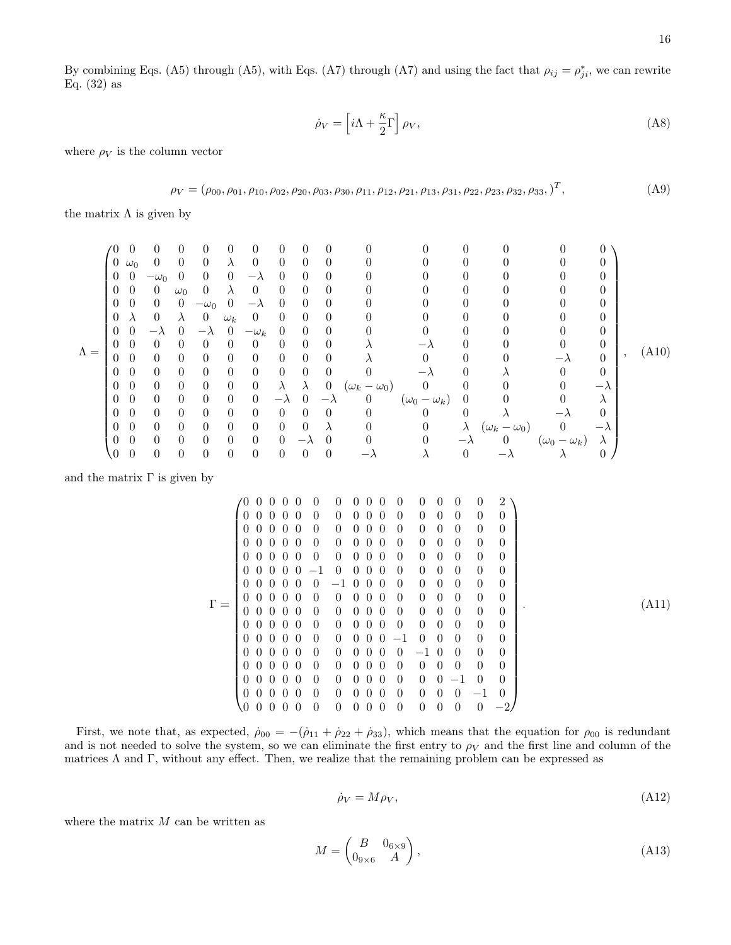By combining Eqs. [\(A5\)](#page-14-2) through (A5), with Eqs. [\(A7\)](#page-14-3) through (A7) and using the fact that  $\rho_{ij} = \rho_{ji}^*$ , we can rewrite Eq.  $(32)$  as

$$
\dot{\rho}_V = \left[i\Lambda + \frac{\kappa}{2}\Gamma\right]\rho_V,\tag{A8}
$$

where  $\rho_V$  is the column vector

$$
\rho_V = (\rho_{00}, \rho_{01}, \rho_{10}, \rho_{02}, \rho_{20}, \rho_{03}, \rho_{30}, \rho_{11}, \rho_{12}, \rho_{21}, \rho_{13}, \rho_{31}, \rho_{22}, \rho_{23}, \rho_{32}, \rho_{33},)^T, \tag{A9}
$$

the matrix  $\Lambda$  is given by

|             |                | $\theta$       |                |                |                |                |                  | $\theta$       | $\left( \right)$ | 0              |                       |                       | 0              |                       | 0                     |                |  |       |
|-------------|----------------|----------------|----------------|----------------|----------------|----------------|------------------|----------------|------------------|----------------|-----------------------|-----------------------|----------------|-----------------------|-----------------------|----------------|--|-------|
| $\Lambda =$ |                | $0 \omega_0$   | $\theta$       | $\Omega$       | $\Omega$       |                | 0                | $\theta$       | $\theta$         | $\theta$       |                       |                       |                |                       |                       |                |  |       |
|             | $\theta$       | $\theta$       | $-\omega_0$    | 0              | $\theta$       | $\theta$       | $-\lambda$       | $\theta$       | $\Omega$         | $\Omega$       |                       |                       | $\Omega$       |                       |                       | 0              |  |       |
|             | $\overline{0}$ | $\theta$       | $\overline{0}$ | $\omega_0$     | $\theta$       | $\lambda$      | $\overline{0}$   | $\overline{0}$ | $\theta$         | $\Omega$       |                       |                       | $\Omega$       |                       |                       | 0              |  |       |
|             | $\theta$       | $\overline{0}$ | $\overline{0}$ | $\Omega$       | $-\omega_0$    | $\Omega$       |                  | $\Omega$       | $\theta$         | $\Omega$       |                       |                       |                |                       |                       | 0              |  |       |
|             | $\theta$       |                | $\overline{0}$ | $\lambda$      | $\theta$       | $\omega_k$     | $\overline{0}$   | $\theta$       | $\theta$         | $\theta$       |                       |                       | $\Omega$       |                       | 0                     | 0              |  |       |
|             | $\theta$       | $\overline{0}$ | $-\lambda$     | $\overline{0}$ | $-\lambda$     | $\overline{0}$ | $-\omega_k$      | $\overline{0}$ | $\theta$         | $\theta$       |                       |                       | $\theta$       |                       | 0                     | 0              |  |       |
|             | $\Omega$       | $\Omega$       | $\Omega$       | $\Omega$       | $\theta$       | 0              | $\overline{0}$   | $\overline{0}$ | $\Omega$         | $\Omega$       |                       |                       | $\Omega$       |                       | 0                     | $\overline{0}$ |  |       |
|             | $\theta$       |                | $\overline{0}$ | $\theta$       | $\theta$       | $\Omega$       | $\overline{0}$   | $\overline{0}$ | $\theta$         | $\theta$       |                       |                       | $\Omega$       |                       |                       | $\theta$       |  | (A10) |
|             | $\theta$       | $\theta$       | $\overline{0}$ | $\theta$       | $\theta$       | $\Omega$       | $\overline{0}$   | $\overline{0}$ | $\overline{0}$   | $\overline{0}$ |                       | $-\lambda$            | $\theta$       |                       | $\overline{0}$        | $\theta$       |  |       |
|             | $\theta$       | $\Omega$       | $\overline{0}$ | $\theta$       | $\overline{0}$ | $\overline{0}$ | $\boldsymbol{0}$ | $\lambda$      | $\lambda$        | $\overline{0}$ | $(\omega_k-\omega_0)$ | $\Omega$              |                |                       | $\theta$              | $-\lambda$     |  |       |
|             | $\theta$       | $\theta$       | $\overline{0}$ | $\theta$       | $\theta$       | $\theta$       | $\overline{0}$   | $-\lambda$     | $\overline{0}$   | $-\lambda$     | $\overline{0}$        | $(\omega_0-\omega_k)$ | $\theta$       |                       |                       |                |  |       |
|             | $\theta$       | $\theta$       | $\theta$       | $\Omega$       | $\theta$       | $\Omega$       | $\overline{0}$   | $\overline{0}$ | $\theta$         | $\theta$       | $\Omega$              | $\theta$              | $\overline{0}$ |                       |                       | 0              |  |       |
|             | $\theta$       | $\Omega$       | $\theta$       | $\Omega$       | $\Omega$       | $\Omega$       | $\theta$         | $\overline{0}$ | $\theta$         | $\lambda$      |                       | $\theta$              | $\lambda$      | $(\omega_k-\omega_0)$ | $\Omega$              | $-\lambda$     |  |       |
|             | $\theta$       |                | $\Omega$       | $\Omega$       | $\theta$       | $\theta$       | $\theta$         | $\theta$       | $-\lambda$       | $\Omega$       |                       |                       | $-\lambda$     | $\theta$              | $(\omega_0-\omega_k)$ | $\lambda$      |  |       |
|             | $\epsilon$     | $\overline{0}$ | $\theta$       | $\left($       | $\theta$       | 0              | $\overline{0}$   | $\overline{0}$ | $\overline{0}$   | $\theta$       |                       |                       | $\overline{0}$ |                       |                       |                |  |       |

and the matrix  $\Gamma$  is given by

Γ = 0 0 0 0 0 0 0 0 0 0 0 0 0 0 0 2 0 0 0 0 0 0 0 0 0 0 0 0 0 0 0 0 0 0 0 0 0 0 0 0 0 0 0 0 0 0 0 0 0 0 0 0 0 0 0 0 0 0 0 0 0 0 0 0 0 0 0 0 0 0 0 0 0 0 0 0 0 0 0 0 0 0 0 0 0 −1 0 0 0 0 0 0 0 0 0 0 0 0 0 0 0 0 −1 0 0 0 0 0 0 0 0 0 0 0 0 0 0 0 0 0 0 0 0 0 0 0 0 0 0 0 0 0 0 0 0 0 0 0 0 0 0 0 0 0 0 0 0 0 0 0 0 0 0 0 0 0 0 0 0 0 0 0 0 0 0 0 0 0 0 0 −1 0 0 0 0 0 0 0 0 0 0 0 0 0 0 0 0 −1 0 0 0 0 0 0 0 0 0 0 0 0 0 0 0 0 0 0 0 0 0 0 0 0 0 0 0 0 0 0 0 0 0 −1 0 0 0 0 0 0 0 0 0 0 0 0 0 0 0 0 −1 0 0 0 0 0 0 0 0 0 0 0 0 0 0 0 0 −2 . (A11)

First, we note that, as expected,  $\dot{\rho}_{00} = -(\dot{\rho}_{11} + \dot{\rho}_{22} + \dot{\rho}_{33})$ , which means that the equation for  $\rho_{00}$  is redundant and is not needed to solve the system, so we can eliminate the first entry to  $\rho_V$  and the first line and column of the matrices  $\Lambda$  and  $\Gamma$ , without any effect. Then, we realize that the remaining problem can be expressed as

$$
\dot{\rho}_V = M \rho_V,\tag{A12}
$$

where the matrix  $M$  can be written as

$$
M = \begin{pmatrix} B & 0_{6 \times 9} \\ 0_{9 \times 6} & A \end{pmatrix},\tag{A13}
$$